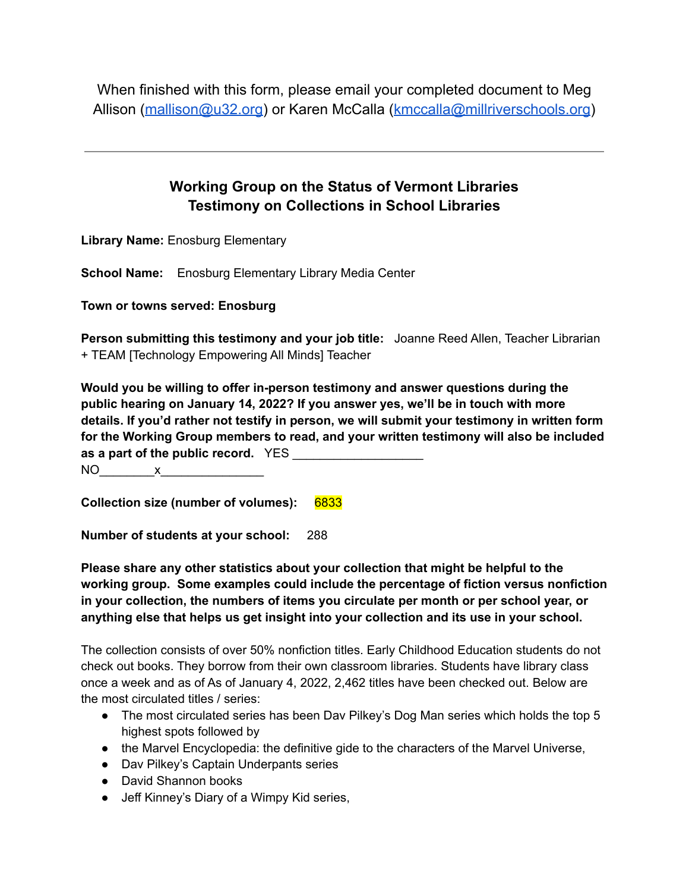When finished with this form, please email your completed document to Meg Allison ([mallison@u32.org\)](mailto:mallison@u32.org) or Karen McCalla [\(kmccalla@millriverschools.org](mailto:kmccalla@millriverschools.org))

## **Working Group on the Status of Vermont Libraries Testimony on Collections in School Libraries**

**Library Name:** Enosburg Elementary

**School Name:** Enosburg Elementary Library Media Center

**Town or towns served: Enosburg**

**Person submitting this testimony and your job title:** Joanne Reed Allen, Teacher Librarian + TEAM [Technology Empowering All Minds] Teacher

**Would you be willing to offer in-person testimony and answer questions during the public hearing on January 14, 2022? If you answer yes, we'll be in touch with more details. If you'd rather not testify in person, we will submit your testimony in written form for the Working Group members to read, and your written testimony will also be included as a part of the public record.** YES \_\_\_\_\_\_\_\_\_\_\_\_\_\_\_\_\_\_\_

 $NO$   $x$ 

**Collection size (number of volumes):** 6833

**Number of students at your school:** 288

**Please share any other statistics about your collection that might be helpful to the working group. Some examples could include the percentage of fiction versus nonfiction in your collection, the numbers of items you circulate per month or per school year, or anything else that helps us get insight into your collection and its use in your school.**

The collection consists of over 50% nonfiction titles. Early Childhood Education students do not check out books. They borrow from their own classroom libraries. Students have library class once a week and as of As of January 4, 2022, 2,462 titles have been checked out. Below are the most circulated titles / series:

- The most circulated series has been Dav Pilkey's Dog Man series which holds the top 5 highest spots followed by
- the Marvel Encyclopedia: the definitive gide to the characters of the Marvel Universe,
- Dav Pilkey's Captain Underpants series
- David Shannon books
- Jeff Kinney's Diary of a Wimpy Kid series,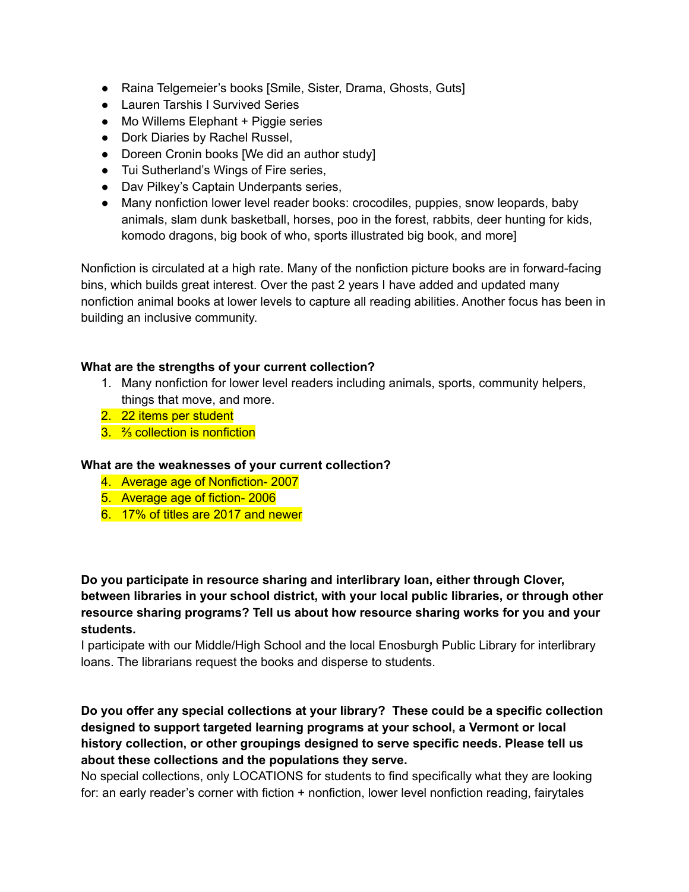- Raina Telgemeier's books [Smile, Sister, Drama, Ghosts, Guts]
- Lauren Tarshis I Survived Series
- Mo Willems Elephant + Piggie series
- Dork Diaries by Rachel Russel,
- Doreen Cronin books [We did an author study]
- Tui Sutherland's Wings of Fire series,
- Dav Pilkey's Captain Underpants series,
- Many nonfiction lower level reader books: crocodiles, puppies, snow leopards, baby animals, slam dunk basketball, horses, poo in the forest, rabbits, deer hunting for kids, komodo dragons, big book of who, sports illustrated big book, and more]

Nonfiction is circulated at a high rate. Many of the nonfiction picture books are in forward-facing bins, which builds great interest. Over the past 2 years I have added and updated many nonfiction animal books at lower levels to capture all reading abilities. Another focus has been in building an inclusive community.

## **What are the strengths of your current collection?**

- 1. Many nonfiction for lower level readers including animals, sports, community helpers, things that move, and more.
- 2. 22 items per student
- 3. ⅔ collection is nonfiction

## **What are the weaknesses of your current collection?**

- 4. Average age of Nonfiction- 2007
- 5. Average age of fiction- 2006
- 6. 17% of titles are 2017 and newer

**Do you participate in resource sharing and interlibrary loan, either through Clover, between libraries in your school district, with your local public libraries, or through other resource sharing programs? Tell us about how resource sharing works for you and your students.**

I participate with our Middle/High School and the local Enosburgh Public Library for interlibrary loans. The librarians request the books and disperse to students.

**Do you offer any special collections at your library? These could be a specific collection designed to support targeted learning programs at your school, a Vermont or local history collection, or other groupings designed to serve specific needs. Please tell us about these collections and the populations they serve.**

No special collections, only LOCATIONS for students to find specifically what they are looking for: an early reader's corner with fiction + nonfiction, lower level nonfiction reading, fairytales